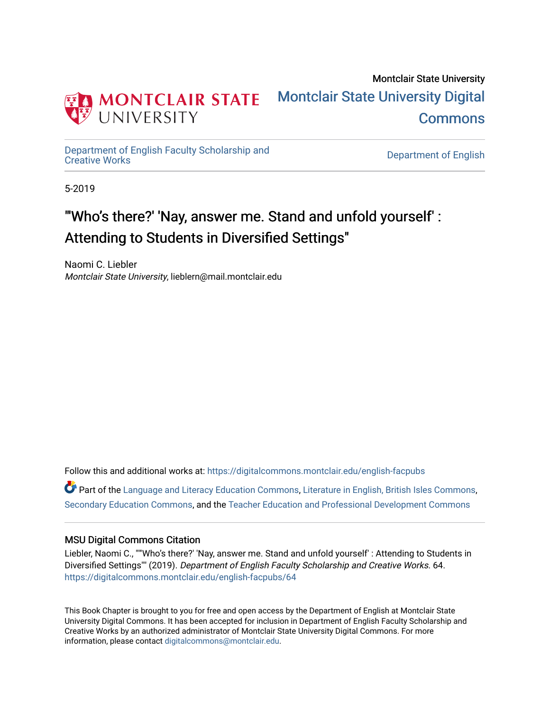

### Montclair State University [Montclair State University Digital](https://digitalcommons.montclair.edu/)  **Commons**

[Department of English Faculty Scholarship and](https://digitalcommons.montclair.edu/english-facpubs)

Department of English

5-2019

## "Who's there?' 'Nay, answer me. Stand and unfold yourself' : Attending to Students in Diversified Settings"

Naomi C. Liebler Montclair State University, lieblern@mail.montclair.edu

Follow this and additional works at: [https://digitalcommons.montclair.edu/english-facpubs](https://digitalcommons.montclair.edu/english-facpubs?utm_source=digitalcommons.montclair.edu%2Fenglish-facpubs%2F64&utm_medium=PDF&utm_campaign=PDFCoverPages)

Part of the [Language and Literacy Education Commons,](http://network.bepress.com/hgg/discipline/1380?utm_source=digitalcommons.montclair.edu%2Fenglish-facpubs%2F64&utm_medium=PDF&utm_campaign=PDFCoverPages) [Literature in English, British Isles Commons,](http://network.bepress.com/hgg/discipline/456?utm_source=digitalcommons.montclair.edu%2Fenglish-facpubs%2F64&utm_medium=PDF&utm_campaign=PDFCoverPages) [Secondary Education Commons](http://network.bepress.com/hgg/discipline/1382?utm_source=digitalcommons.montclair.edu%2Fenglish-facpubs%2F64&utm_medium=PDF&utm_campaign=PDFCoverPages), and the [Teacher Education and Professional Development Commons](http://network.bepress.com/hgg/discipline/803?utm_source=digitalcommons.montclair.edu%2Fenglish-facpubs%2F64&utm_medium=PDF&utm_campaign=PDFCoverPages) 

### MSU Digital Commons Citation

Liebler, Naomi C., ""'Who's there?' 'Nay, answer me. Stand and unfold yourself' : Attending to Students in Diversified Settings"" (2019). Department of English Faculty Scholarship and Creative Works. 64. [https://digitalcommons.montclair.edu/english-facpubs/64](https://digitalcommons.montclair.edu/english-facpubs/64?utm_source=digitalcommons.montclair.edu%2Fenglish-facpubs%2F64&utm_medium=PDF&utm_campaign=PDFCoverPages) 

This Book Chapter is brought to you for free and open access by the Department of English at Montclair State University Digital Commons. It has been accepted for inclusion in Department of English Faculty Scholarship and Creative Works by an authorized administrator of Montclair State University Digital Commons. For more information, please contact [digitalcommons@montclair.edu](mailto:digitalcommons@montclair.edu).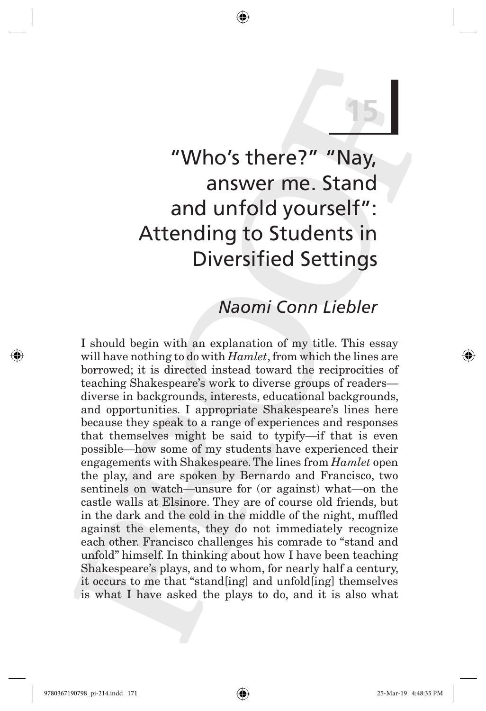# "Who's there?" "Nay, answer me. Stand and unfold yourself": Attending to Students in Diversified Settings

### *Naomi Conn Liebler*

 **15** 

I should begin with an explanation of my title. This essay will have nothing to do with *Hamlet*, from which the lines are borrowed; it is directed instead toward the reciprocities of teaching Shakespeare's work to diverse groups of readers diverse in backgrounds, interests, educational backgrounds, and opportunities. I appropriate Shakespeare's lines here because they speak to a range of experiences and responses that themselves might be said to typify— if that is even possible— how some of my students have experienced their engagements with Shakespeare. The lines from *Hamlet* open the play, and are spoken by Bernardo and Francisco, two sentinels on watch—unsure for (or against) what—on the castle walls at Elsinore. They are of course old friends, but in the dark and the cold in the middle of the night, muffled against the elements, they do not immediately recognize each other. Francisco challenges his comrade to "stand and unfold" himself. In thinking about how I have been teaching Shakespeare's plays, and to whom, for nearly half a century, it occurs to me that "stand[ing] and unfold[ing] themselves is what I have asked the plays to do, and it is also what

↔

⊕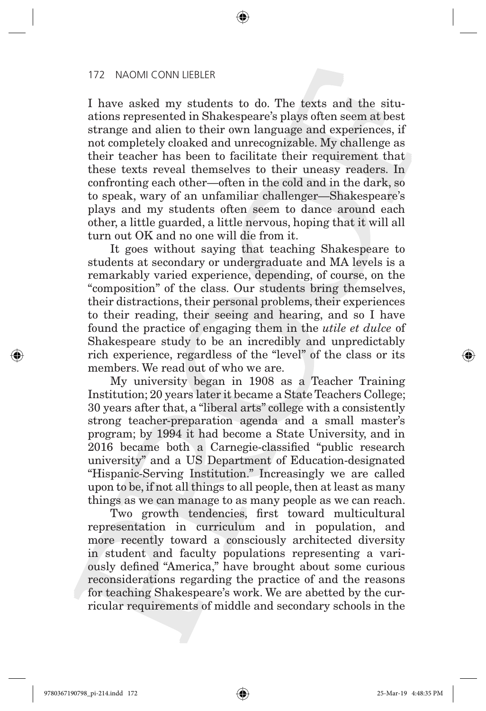#### 172 NAOMI CONN LIEBLER

I have asked my students to do. The texts and the situations represented in Shakespeare's plays often seem at best strange and alien to their own language and experiences, if not completely cloaked and unrecognizable. My challenge as their teacher has been to facilitate their requirement that these texts reveal themselves to their uneasy readers. In confronting each other— often in the cold and in the dark, so to speak, wary of an unfamiliar challenger— Shakespeare's plays and my students often seem to dance around each other, a little guarded, a little nervous, hoping that it will all turn out OK and no one will die from it.

It goes without saying that teaching Shakespeare to students at secondary or undergraduate and MA levels is a remarkably varied experience, depending, of course, on the "composition" of the class. Our students bring themselves, their distractions, their personal problems, their experiences to their reading, their seeing and hearing, and so I have found the practice of engaging them in the *utile et dulce* of Shakespeare study to be an incredibly and unpredictably rich experience, regardless of the "level" of the class or its members. We read out of who we are.

My university began in 1908 as a Teacher Training Institution; 20 years later it became a State Teachers College; 30 years after that, a "liberal arts" college with a consistently strong teacher- preparation agenda and a small master's program; by 1994 it had become a State University, and in 2016 became both a Carnegie-classified "public research" university" and a US Department of Education- designated "Hispanic- Serving Institution." Increasingly we are called upon to be, if not all things to all people, then at least as many things as we can manage to as many people as we can reach.

Two growth tendencies, first toward multicultural representation in curriculum and in population, and more recently toward a consciously architected diversity in student and faculty populations representing a variously defined "America," have brought about some curious reconsiderations regarding the practice of and the reasons for teaching Shakespeare's work. We are abetted by the curricular requirements of middle and secondary schools in the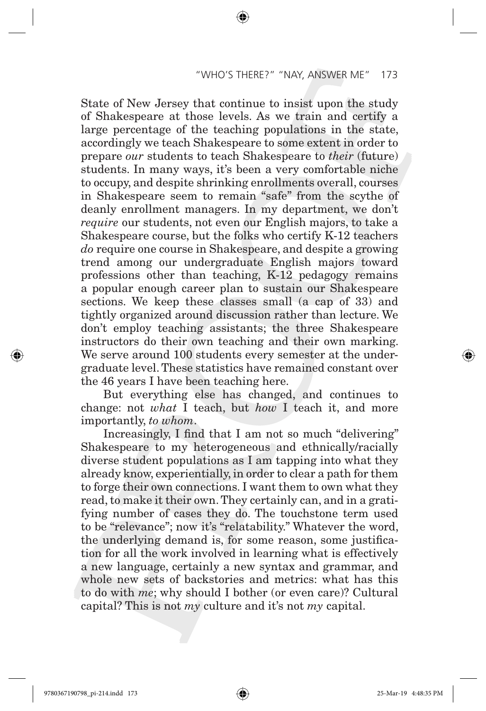State of New Jersey that continue to insist upon the study of Shakespeare at those levels. As we train and certify a large percentage of the teaching populations in the state, accordingly we teach Shakespeare to some extent in order to prepare *our* students to teach Shakespeare to *their* (future) students. In many ways, it's been a very comfortable niche to occupy, and despite shrinking enrollments overall, courses in Shakespeare seem to remain "safe" from the scythe of deanly enrollment managers. In my department, we don't *require* our students, not even our English majors, to take a Shakespeare course, but the folks who certify K-12 teachers *do* require one course in Shakespeare, and despite a growing trend among our undergraduate English majors toward professions other than teaching, K- 12 pedagogy remains a popular enough career plan to sustain our Shakespeare sections. We keep these classes small (a cap of 33) and tightly organized around discussion rather than lecture. We don't employ teaching assistants; the three Shakespeare instructors do their own teaching and their own marking. We serve around 100 students every semester at the undergraduate level. These statistics have remained constant over the 46 years I have been teaching here.

But everything else has changed, and continues to change: not *what* I teach, but *how* I teach it, and more importantly, *to whom*.

Increasingly, I find that I am not so much "delivering" Shakespeare to my heterogeneous and ethnically/racially diverse student populations as I am tapping into what they already know, experientially, in order to clear a path for them to forge their own connections. I want them to own what they read, to make it their own. They certainly can, and in a gratifying number of cases they do. The touchstone term used to be "relevance"; now it's "relatability." Whatever the word, the underlying demand is, for some reason, some justification for all the work involved in learning what is effectively a new language, certainly a new syntax and grammar, and whole new sets of backstories and metrics: what has this to do with *me*; why should I bother (or even care)? Cultural capital? This is not *my* culture and it's not *my* capital.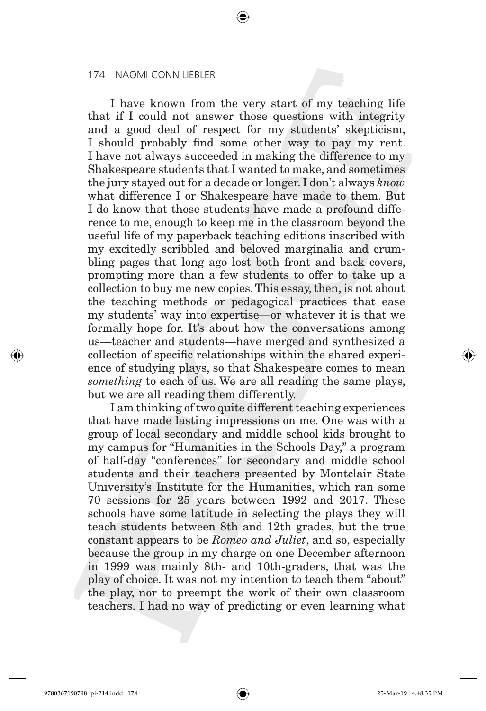#### 174 NAOMI CONN LIEBLER

I have known from the very start of my teaching life that if I could not answer those questions with integrity and a good deal of respect for my students' skepticism, I should probably find some other way to pay my rent. I have not always succeeded in making the difference to my Shakespeare students that I wanted to make, and sometimes the jury stayed out for a decade or longer. I don't always *know* what difference I or Shakespeare have made to them. But I do know that those students have made a profound difference to me, enough to keep me in the classroom beyond the useful life of my paperback teaching editions inscribed with my excitedly scribbled and beloved marginalia and crumbling pages that long ago lost both front and back covers, prompting more than a few students to offer to take up a collection to buy me new copies. This essay, then, is not about the teaching methods or pedagogical practices that ease my students' way into expertise— or whatever it is that we formally hope for. It's about how the conversations among us— teacher and students— have merged and synthesized a collection of specific relationships within the shared experience of studying plays, so that Shakespeare comes to mean *something* to each of us. We are all reading the same plays, but we are all reading them differently.

I am thinking of two quite different teaching experiences that have made lasting impressions on me. One was with a group of local secondary and middle school kids brought to my campus for "Humanities in the Schools Day," a program of half- day "conferences" for secondary and middle school students and their teachers presented by Montclair State University's Institute for the Humanities, which ran some 70 sessions for 25 years between 1992 and 2017. These schools have some latitude in selecting the plays they will teach students between 8th and 12th grades, but the true constant appears to be *Romeo and Juliet*, and so, especially because the group in my charge on one December afternoon in 1999 was mainly 8th- and 10th-graders, that was the play of choice. It was not my intention to teach them "about" the play, nor to preempt the work of their own classroom teachers. I had no way of predicting or even learning what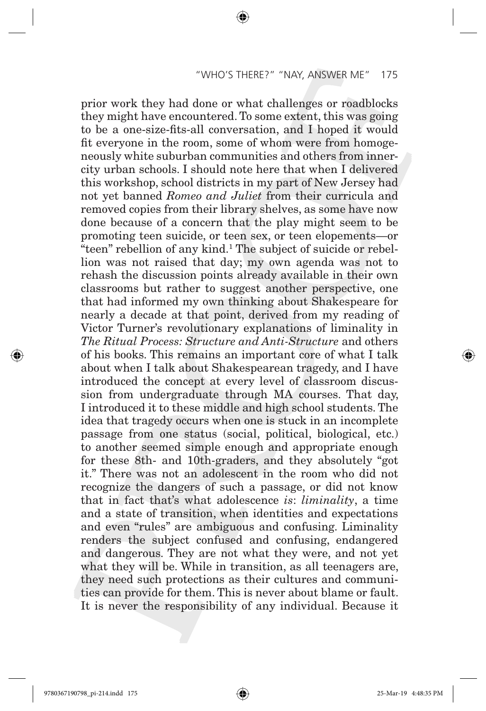prior work they had done or what challenges or roadblocks they might have encountered. To some extent, this was going to be a one-size-fits-all conversation, and I hoped it would fit everyone in the room, some of whom were from homogeneously white suburban communities and others from innercity urban schools. I should note here that when I delivered this workshop, school districts in my part of New Jersey had not yet banned *Romeo and Juliet* from their curricula and removed copies from their library shelves, as some have now done because of a concern that the play might seem to be promoting teen suicide, or teen sex, or teen elopements— or "teen" rebellion of any kind.<sup>1</sup> The subject of suicide or rebellion was not raised that day; my own agenda was not to rehash the discussion points already available in their own classrooms but rather to suggest another perspective, one that had informed my own thinking about Shakespeare for nearly a decade at that point, derived from my reading of Victor Turner's revolutionary explanations of liminality in *The Ritual Process: Structure and Anti- Structure* and others of his books. This remains an important core of what I talk about when I talk about Shakespearean tragedy, and I have introduced the concept at every level of classroom discussion from undergraduate through MA courses. That day, I introduced it to these middle and high school students. The idea that tragedy occurs when one is stuck in an incomplete passage from one status (social, political, biological, etc.) to another seemed simple enough and appropriate enough for these 8th- and 10th-graders, and they absolutely "got it." There was not an adolescent in the room who did not recognize the dangers of such a passage, or did not know that in fact that's what adolescence *is* : *liminality*, a time and a state of transition, when identities and expectations and even "rules" are ambiguous and confusing. Liminality renders the subject confused and confusing, endangered and dangerous. They are not what they were, and not yet what they will be. While in transition, as all teenagers are, they need such protections as their cultures and communities can provide for them. This is never about blame or fault. It is never the responsibility of any individual. Because it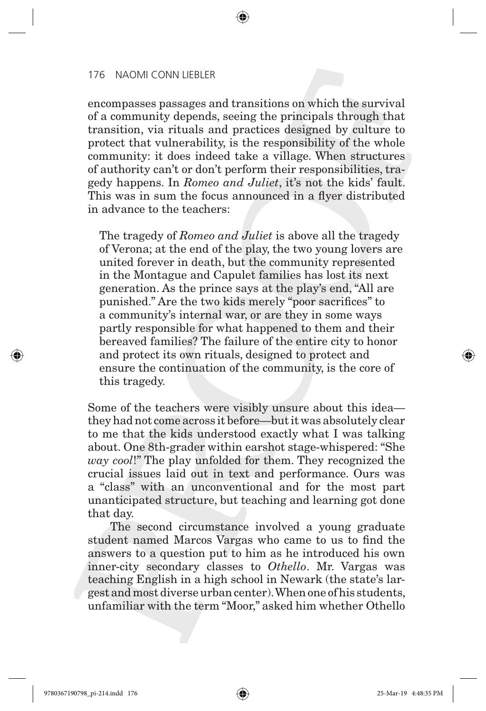#### 176 NAOMI CONN LIEBLER

encompasses passages and transitions on which the survival of a community depends, seeing the principals through that transition, via rituals and practices designed by culture to protect that vulnerability, is the responsibility of the whole community: it does indeed take a village. When structures of authority can't or don't perform their responsibilities, tragedy happens. In *Romeo and Juliet*, it's not the kids' fault. This was in sum the focus announced in a flyer distributed in advance to the teachers:

 The tragedy of *Romeo and Juliet* is above all the tragedy of Verona; at the end of the play, the two young lovers are united forever in death, but the community represented in the Montague and Capulet families has lost its next generation. As the prince says at the play's end, "All are punished." Are the two kids merely "poor sacrifices" to a community's internal war, or are they in some ways partly responsible for what happened to them and their bereaved families? The failure of the entire city to honor and protect its own rituals, designed to protect and ensure the continuation of the community, is the core of this tragedy.

Some of the teachers were visibly unsure about this idea they had not come across it before— but it was absolutely clear to me that the kids understood exactly what I was talking about. One 8th-grader within earshot stage-whispered: "She *way cool*!" The play unfolded for them. They recognized the crucial issues laid out in text and performance. Ours was a "class" with an unconventional and for the most part unanticipated structure, but teaching and learning got done that day.

The second circumstance involved a young graduate student named Marcos Vargas who came to us to find the answers to a question put to him as he introduced his own inner- city secondary classes to *Othello*. Mr. Vargas was teaching English in a high school in Newark (the state's largest and most diverse urban center). When one of his students, unfamiliar with the term "Moor," asked him whether Othello

⊕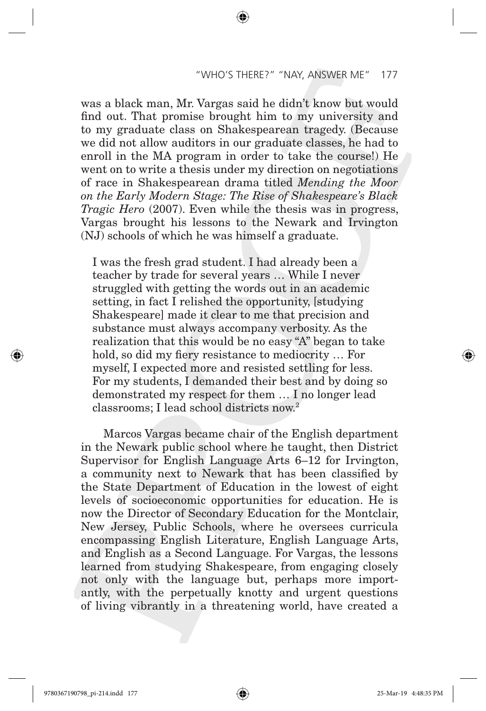#### "WHO'S THERE?" "NAY, ANSWER ME" 177

was a black man, Mr. Vargas said he didn't know but would find out. That promise brought him to my university and to my graduate class on Shakespearean tragedy. (Because we did not allow auditors in our graduate classes, he had to enroll in the MA program in order to take the course!) He went on to write a thesis under my direction on negotiations of race in Shakespearean drama titled *Mending the Moor on the Early Modern Stage: The Rise of Shakespeare's Black Tragic Hero* (2007). Even while the thesis was in progress, Vargas brought his lessons to the Newark and Irvington (NJ) schools of which he was himself a graduate.

 I was the fresh grad student. I had already been a teacher by trade for several years … While I never struggled with getting the words out in an academic setting, in fact I relished the opportunity, [studying Shakespeare] made it clear to me that precision and substance must always accompany verbosity. As the realization that this would be no easy "A" began to take hold, so did my fiery resistance to mediocrity ... For myself, I expected more and resisted settling for less. For my students, I demanded their best and by doing so demonstrated my respect for them … I no longer lead classrooms; I lead school districts now. 2

Marcos Vargas became chair of the English department in the Newark public school where he taught, then District Supervisor for English Language Arts 6–12 for Irvington, a community next to Newark that has been classified by the State Department of Education in the lowest of eight levels of socioeconomic opportunities for education. He is now the Director of Secondary Education for the Montclair, New Jersey, Public Schools, where he oversees curricula encompassing English Literature, English Language Arts, and English as a Second Language. For Vargas, the lessons learned from studying Shakespeare, from engaging closely not only with the language but, perhaps more importantly, with the perpetually knotty and urgent questions of living vibrantly in a threatening world, have created a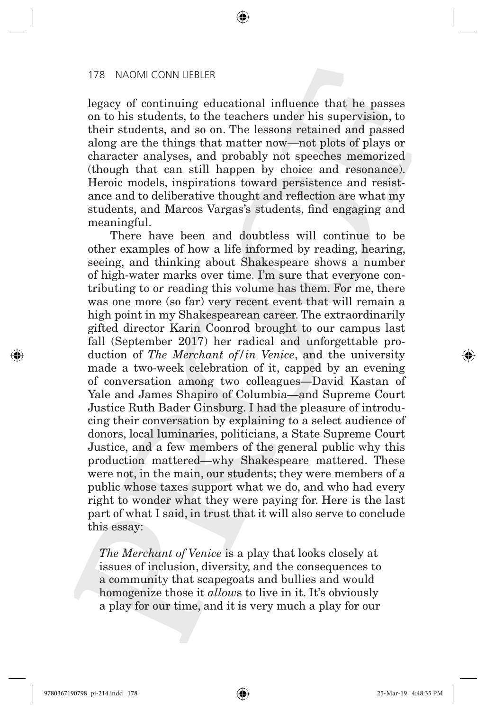legacy of continuing educational influence that he passes on to his students, to the teachers under his supervision, to their students, and so on. The lessons retained and passed along are the things that matter now— not plots of plays or character analyses, and probably not speeches memorized (though that can still happen by choice and resonance). Heroic models, inspirations toward persistence and resistance and to deliberative thought and reflection are what my students, and Marcos Vargas's students, find engaging and meaningful.

There have been and doubtless will continue to be other examples of how a life informed by reading, hearing, seeing, and thinking about Shakespeare shows a number of high- water marks over time. I'm sure that everyone contributing to or reading this volume has them. For me, there was one more (so far) very recent event that will remain a high point in my Shakespearean career. The extraordinarily gifted director Karin Coonrod brought to our campus last fall (September 2017) her radical and unforgettable production of *The Merchant of/ in Venice*, and the university made a two-week celebration of it, capped by an evening of conversation among two colleagues— David Kastan of Yale and James Shapiro of Columbia— and Supreme Court Justice Ruth Bader Ginsburg. I had the pleasure of introducing their conversation by explaining to a select audience of donors, local luminaries, politicians, a State Supreme Court Justice, and a few members of the general public why this production mattered— why Shakespeare mattered. These were not, in the main, our students; they were members of a public whose taxes support what we do, and who had every right to wonder what they were paying for. Here is the last part of what I said, in trust that it will also serve to conclude this essay:

*The Merchant of Venice* is a play that looks closely at issues of inclusion, diversity, and the consequences to a community that scapegoats and bullies and would homogenize those it *allows* to live in it. It's obviously a play for our time, and it is very much a play for our